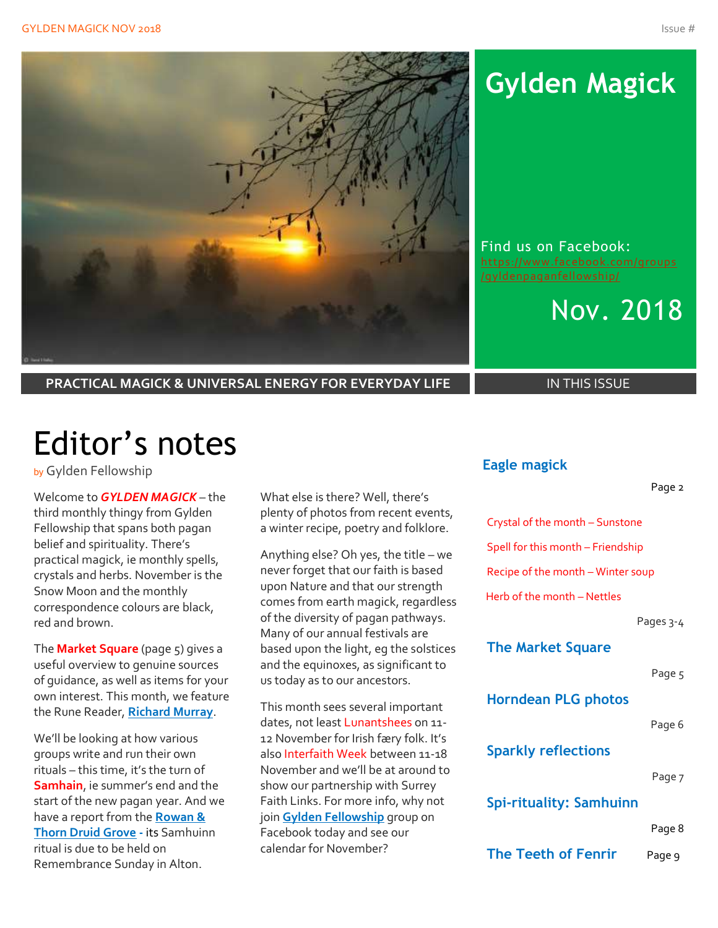

**PRACTICAL MAGICK & UNIVERSAL ENERGY FOR EVERYDAY LIFE IN THIS ISSUE** 

# Editor's notes

by Gylden Fellowship

Welcome to *GYLDEN MAGICK* – the third monthly thingy from Gylden Fellowship that spans both pagan belief and spirituality. There's practical magick, ie monthly spells, crystals and herbs. November is the Snow Moon and the monthly correspondence colours are black, red and brown.

The **Market Square** (page 5) gives a useful overview to genuine sources of guidance, as well as items for your own interest. This month, we feature the Rune Reader, **Richard Murray**.

We'll be looking at how various groups write and run their own rituals – this time, it's the turn of **Samhain**, ie summer's end and the start of the new pagan year. And we have a report from the **Rowan & Thorn Druid Grove -** its Samhuinn ritual is due to be held on Remembrance Sunday in Alton.

What else is there? Well, there's plenty of photos from recent events, a winter recipe, poetry and folklore.

Anything else? Oh yes, the title – we never forget that our faith is based upon Nature and that our strength comes from earth magick, regardless of the diversity of pagan pathways. Many of our annual festivals are based upon the light, eg the solstices and the equinoxes, as significant to us today as to our ancestors.

This month sees several important dates, not least Lunantshees on 11-12 November for Irish færy folk. It's also Interfaith Week between 11-18 November and we'll be at around to show our partnership with Surrey Faith Links. For more info, why not join **Gylden Fellowship** group on Facebook today and see our calendar for November?

## **Gylden Magick**

Find us on Facebook: [https://www.facebook.com/groups](https://www.facebook.com/groups/gyldenpaganfellowship/) [/gyldenpaganfellowship/](https://www.facebook.com/groups/gyldenpaganfellowship/)



### **Eagle magick**

#### Page 2

Crystal of the month – Sunstone

Spell for this month – Friendship

Recipe of the month – Winter soup

Herb of the month – Nettles

Pages 3-4

### **The Market Square**

Page 5

**Horndean PLG photos**

#### Page 6

**Sparkly reflections**

Page 7

### **Spi-rituality: Samhuinn**

Page 8

**The Teeth of Fenrir** Page 9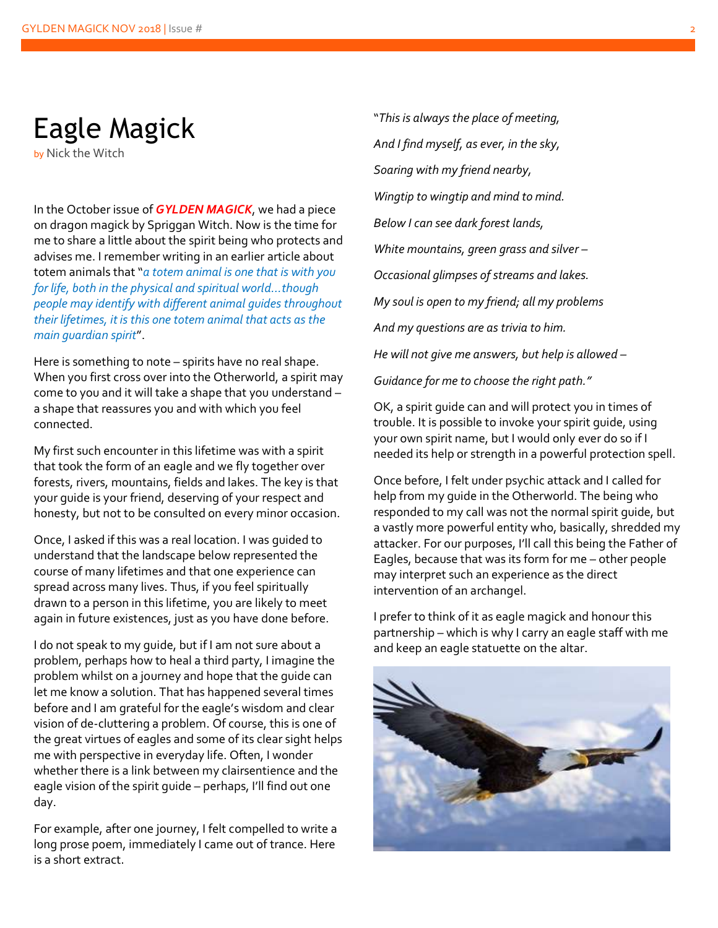## Eagle Magick

by Nick the Witch

In the October issue of *GYLDEN MAGICK*, we had a piece on dragon magick by Spriggan Witch. Now is the time for me to share a little about the spirit being who protects and advises me. I remember writing in an earlier article about totem animals that "*a totem animal is one that is with you for life, both in the physical and spiritual world…though people may identify with different animal guides throughout their lifetimes, it is this one totem animal that acts as the main guardian spirit*".

Here is something to note – spirits have no real shape. When you first cross over into the Otherworld, a spirit may come to you and it will take a shape that you understand – a shape that reassures you and with which you feel connected.

My first such encounter in this lifetime was with a spirit that took the form of an eagle and we fly together over forests, rivers, mountains, fields and lakes. The key is that your guide is your friend, deserving of your respect and honesty, but not to be consulted on every minor occasion.

Once, I asked if this was a real location. I was guided to understand that the landscape below represented the course of many lifetimes and that one experience can spread across many lives. Thus, if you feel spiritually drawn to a person in this lifetime, you are likely to meet again in future existences, just as you have done before.

I do not speak to my guide, but if I am not sure about a problem, perhaps how to heal a third party, I imagine the problem whilst on a journey and hope that the guide can let me know a solution. That has happened several times before and I am grateful for the eagle's wisdom and clear vision of de-cluttering a problem. Of course, this is one of the great virtues of eagles and some of its clear sight helps me with perspective in everyday life. Often, I wonder whether there is a link between my clairsentience and the eagle vision of the spirit guide – perhaps, I'll find out one day.

For example, after one journey, I felt compelled to write a long prose poem, immediately I came out of trance. Here is a short extract.

"*This is always the place of meeting, And I find myself, as ever, in the sky, Soaring with my friend nearby, Wingtip to wingtip and mind to mind. Below I can see dark forest lands, White mountains, green grass and silver – Occasional glimpses of streams and lakes. My soul is open to my friend; all my problems And my questions are as trivia to him. He will not give me answers, but help is allowed –*

*Guidance for me to choose the right path."*

OK, a spirit guide can and will protect you in times of trouble. It is possible to invoke your spirit guide, using your own spirit name, but I would only ever do so if I needed its help or strength in a powerful protection spell.

Once before, I felt under psychic attack and I called for help from my guide in the Otherworld. The being who responded to my call was not the normal spirit guide, but a vastly more powerful entity who, basically, shredded my attacker. For our purposes, I'll call this being the Father of Eagles, because that was its form for me – other people may interpret such an experience as the direct intervention of an archangel.

I prefer to think of it as eagle magick and honour this partnership – which is why I carry an eagle staff with me and keep an eagle statuette on the altar.

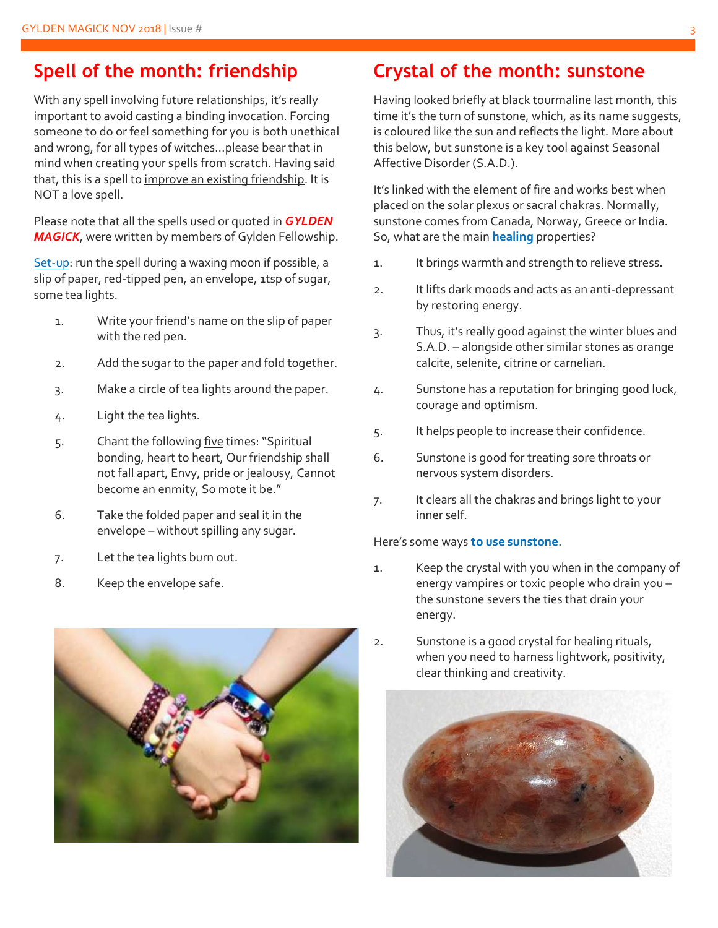### **Spell of the month: friendship**

With any spell involving future relationships, it's really important to avoid casting a binding invocation. Forcing someone to do or feel something for you is both unethical and wrong, for all types of witches…please bear that in mind when creating your spells from scratch. Having said that, this is a spell to improve an existing friendship. It is NOT a love spell.

Please note that all the spells used or quoted in *GYLDEN MAGICK*, were written by members of Gylden Fellowship.

Set-up: run the spell during a waxing moon if possible, a slip of paper, red-tipped pen, an envelope, 1tsp of sugar, some tea lights.

- 1. Write your friend's name on the slip of paper with the red pen.
- 2. Add the sugar to the paper and fold together.
- 3. Make a circle of tea lights around the paper.
- 4. Light the tea lights.
- 5. Chant the following five times: "Spiritual bonding, heart to heart, Our friendship shall not fall apart, Envy, pride or jealousy, Cannot become an enmity, So mote it be."
- 6. Take the folded paper and seal it in the envelope – without spilling any sugar.
- 7. Let the tea lights burn out.
- 8. Keep the envelope safe.



## **Crystal of the month: sunstone**

Having looked briefly at black tourmaline last month, this time it's the turn of sunstone, which, as its name suggests, is coloured like the sun and reflects the light. More about this below, but sunstone is a key tool against Seasonal Affective Disorder (S.A.D.).

It's linked with the element of fire and works best when placed on the solar plexus or sacral chakras. Normally, sunstone comes from Canada, Norway, Greece or India. So, what are the main **healing** properties?

- 1. It brings warmth and strength to relieve stress.
- 2. It lifts dark moods and acts as an anti-depressant by restoring energy.
- 3. Thus, it's really good against the winter blues and S.A.D. – alongside other similar stones as orange calcite, selenite, citrine or carnelian.
- 4. Sunstone has a reputation for bringing good luck, courage and optimism.
- 5. It helps people to increase their confidence.
- 6. Sunstone is good for treating sore throats or nervous system disorders.
- 7. It clears all the chakras and brings light to your inner self.

#### Here's some ways **to use sunstone**.

- 1. Keep the crystal with you when in the company of energy vampires or toxic people who drain you – the sunstone severs the ties that drain your energy.
- 2. Sunstone is a good crystal for healing rituals, when you need to harness lightwork, positivity, clear thinking and creativity.

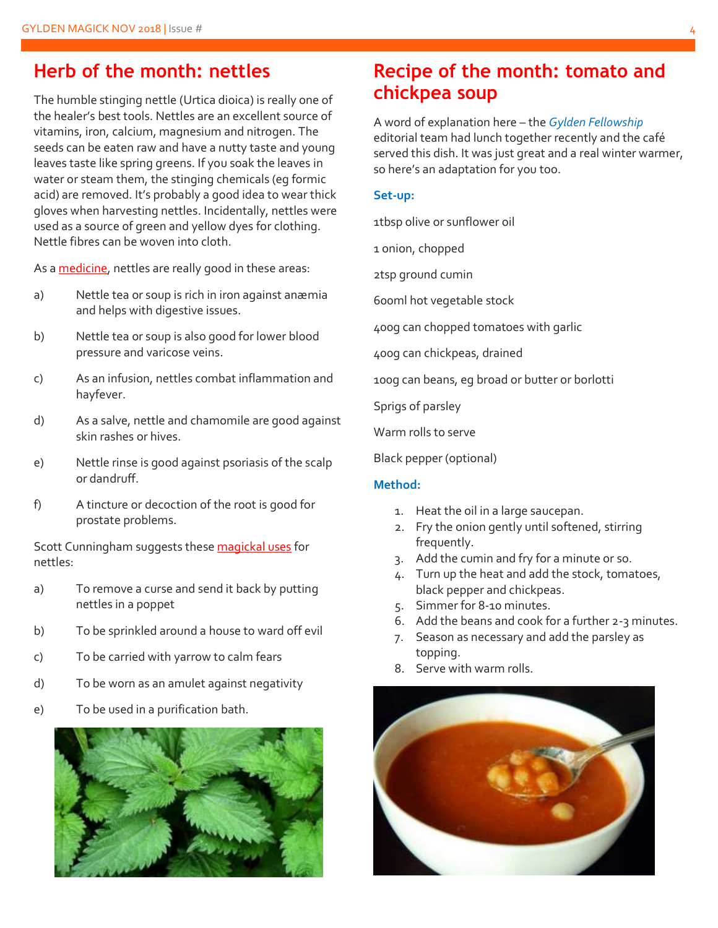### **Herb of the month: nettles**

The humble stinging nettle (Urtica dioica) is really one of the healer's best tools. Nettles are an excellent source of vitamins, iron, calcium, magnesium and nitrogen. The seeds can be eaten raw and have a nutty taste and young leaves taste like spring greens. If you soak the leaves in water or steam them, the stinging chemicals (eg formic acid) are removed. It's probably a good idea to wear thick gloves when harvesting nettles. Incidentally, nettles were used as a source of green and yellow dyes for clothing. Nettle fibres can be woven into cloth.

As a medicine, nettles are really good in these areas:

- a) Nettle tea or soup is rich in iron against anæmia and helps with digestive issues.
- b) Nettle tea or soup is also good for lower blood pressure and varicose veins.
- c) As an infusion, nettles combat inflammation and hayfever.
- d) As a salve, nettle and chamomile are good against skin rashes or hives.
- e) Nettle rinse is good against psoriasis of the scalp or dandruff.
- f) A tincture or decoction of the root is good for prostate problems.

Scott Cunningham suggests these magickal uses for nettles:

- a) To remove a curse and send it back by putting nettles in a poppet
- b) To be sprinkled around a house to ward off evil
- c) To be carried with yarrow to calm fears
- d) To be worn as an amulet against negativity
- e) To be used in a purification bath.



## **Recipe of the month: tomato and chickpea soup**

A word of explanation here – the *Gylden Fellowship* editorial team had lunch together recently and the café served this dish. It was just great and a real winter warmer, so here's an adaptation for you too.

#### **Set-up:**

1tbsp olive or sunflower oil

1 onion, chopped

2tsp ground cumin

600ml hot vegetable stock

400g can chopped tomatoes with garlic

400g can chickpeas, drained

100g can beans, eg broad or butter or borlotti

Sprigs of parsley

Warm rolls to serve

Black pepper (optional)

#### **Method:**

- 1. Heat the oil in a large saucepan.
- 2. Fry the onion gently until softened, stirring frequently.
- 3. Add the cumin and fry for a minute or so.
- 4. Turn up the heat and add the stock, tomatoes, black pepper and chickpeas.
- 5. Simmer for 8-10 minutes.
- 6. Add the beans and cook for a further 2-3 minutes.
- 7. Season as necessary and add the parsley as topping.
- 8. Serve with warm rolls.

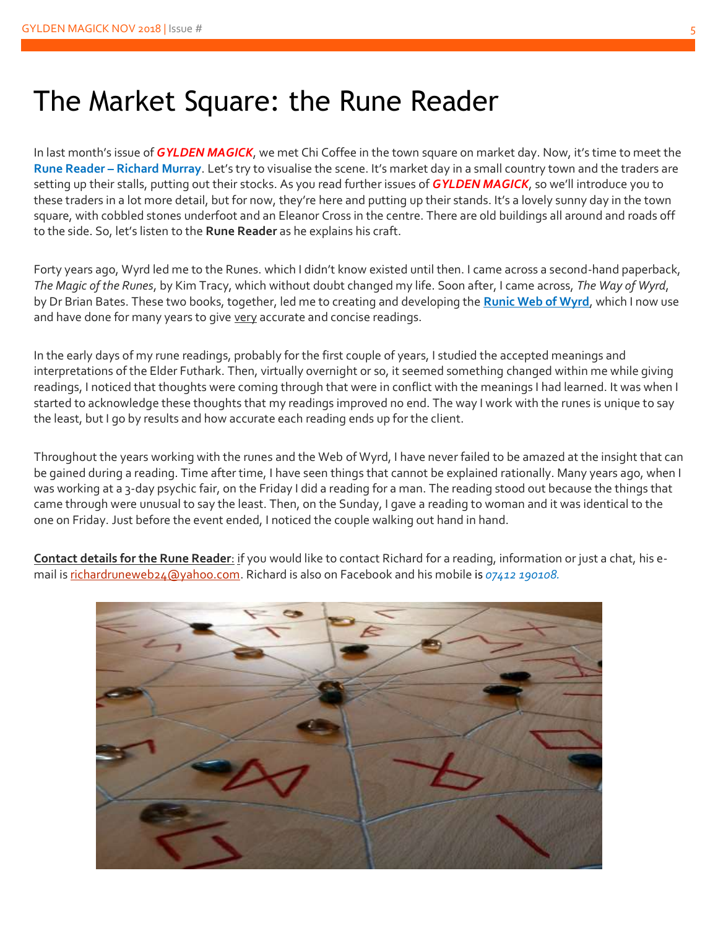## The Market Square: the Rune Reader

In last month's issue of *GYLDEN MAGICK*, we met Chi Coffee in the town square on market day. Now, it's time to meet the **Rune Reader – Richard Murray**. Let's try to visualise the scene. It's market day in a small country town and the traders are setting up their stalls, putting out their stocks. As you read further issues of *GYLDEN MAGICK*, so we'll introduce you to these traders in a lot more detail, but for now, they're here and putting up their stands. It's a lovely sunny day in the town square, with cobbled stones underfoot and an Eleanor Cross in the centre. There are old buildings all around and roads off to the side. So, let's listen to the **Rune Reader** as he explains his craft.

Forty years ago, Wyrd led me to the Runes. which I didn't know existed until then. I came across a second-hand paperback, *The Magic of the Runes*, by Kim Tracy, which without doubt changed my life. Soon after, I came across, *The Way of Wyrd*, by Dr Brian Bates. These two books, together, led me to creating and developing the **Runic Web of Wyrd**, which I now use and have done for many years to give very accurate and concise readings.

In the early days of my rune readings, probably for the first couple of years, I studied the accepted meanings and interpretations of the Elder Futhark. Then, virtually overnight or so, it seemed something changed within me while giving readings, I noticed that thoughts were coming through that were in conflict with the meanings I had learned. It was when I started to acknowledge these thoughts that my readings improved no end. The way I work with the runes is unique to say the least, but I go by results and how accurate each reading ends up for the client.

Throughout the years working with the runes and the Web of Wyrd, I have never failed to be amazed at the insight that can be gained during a reading. Time after time, I have seen things that cannot be explained rationally. Many years ago, when I was working at a 3-day psychic fair, on the Friday I did a reading for a man. The reading stood out because the things that came through were unusual to say the least. Then, on the Sunday, I gave a reading to woman and it was identical to the one on Friday. Just before the event ended, I noticed the couple walking out hand in hand.

**Contact details for the Rune Reader**: if you would like to contact Richard for a reading, information or just a chat, his email is [richardruneweb24@yahoo.com.](mailto:richardruneweb24@yahoo.com) Richard is also on Facebook and his mobile is *07412 190108.*

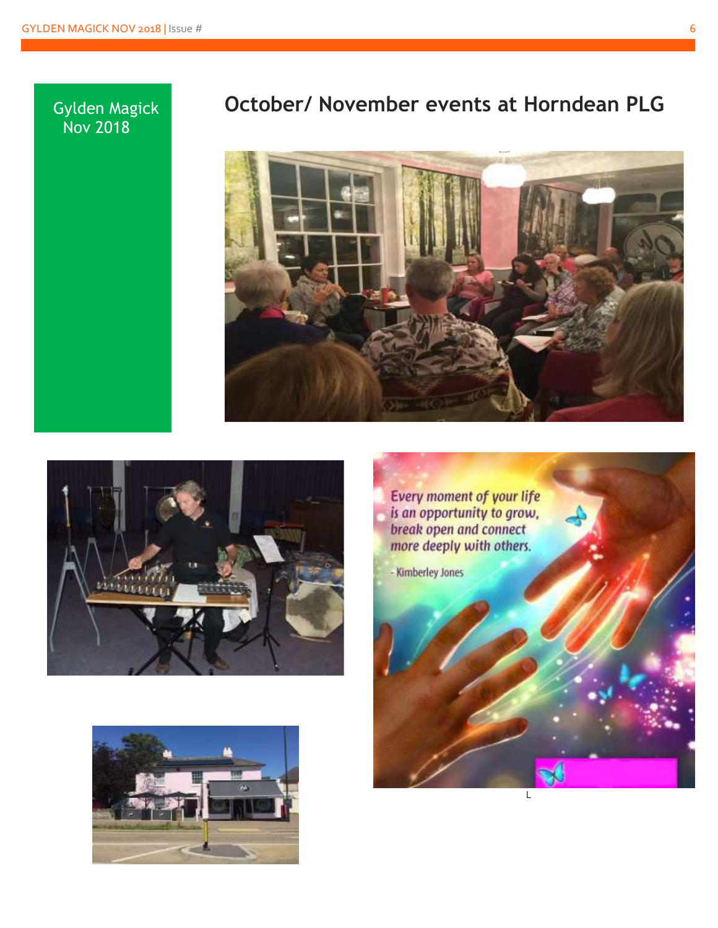### Gylden Magick Nov 2018

## **October/ November events at Horndean PLG**







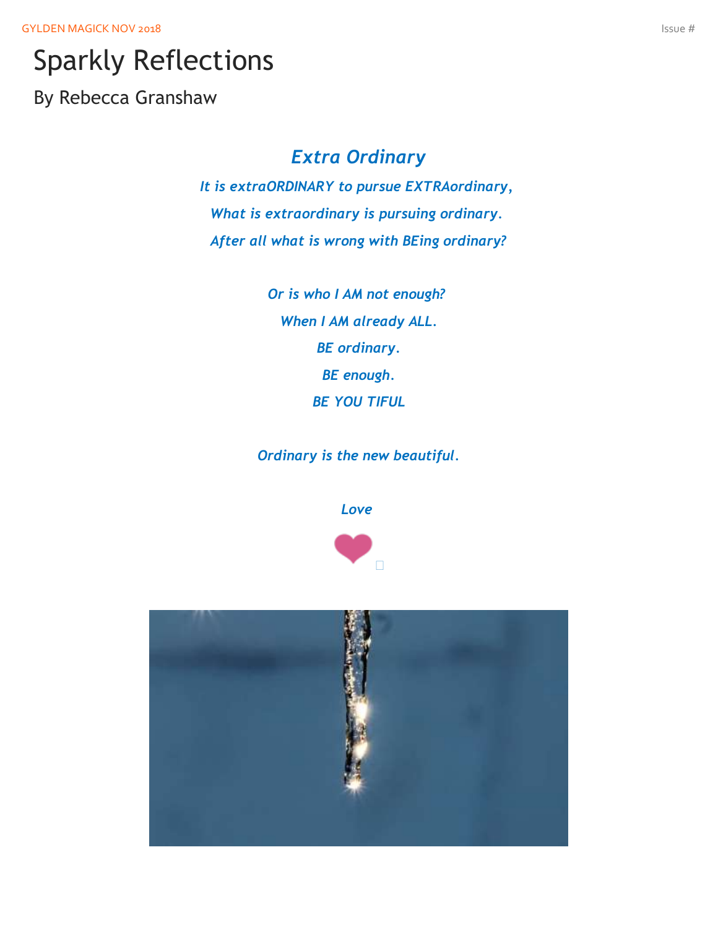GYLDEN MAGICK NOV 2018 **ISSUE #** ISSUE # ISSUE # ISSUE # ISSUE # ISSUE # ISSUE # ISSUE # ISSUE # ISSUE # ISSUE # ISSUE # ISSUE # ISSUE # ISSUE # ISSUE # ISSUE # ISSUE # ISSUE # ISSUE # ISSUE # ISSUE # ISSUE # ISSUE # ISSUE

## Sparkly Reflections

By Rebecca Granshaw

## *Extra Ordinary*

*It is extraORDINARY to pursue EXTRAordinary, What is extraordinary is pursuing ordinary. After all what is wrong with BEing ordinary?*

> *Or is who I AM not enough? When I AM already ALL. BE ordinary. BE enough. BE YOU TIFUL*

*Ordinary is the new beautiful.*





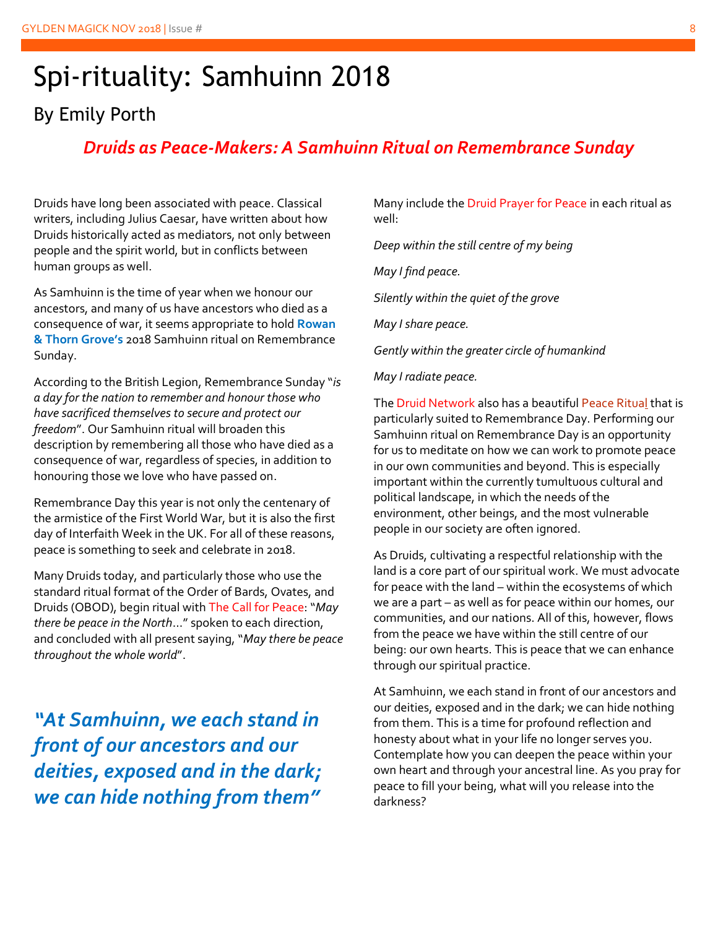## Spi-rituality: Samhuinn 2018

## By Emily Porth

### *Druids as Peace-Makers: A Samhuinn Ritual on Remembrance Sunday*

Druids have long been associated with peace. Classical writers, including Julius Caesar, have written about how Druids historically acted as mediators, not only between people and the spirit world, but in conflicts between human groups as well.

As Samhuinn is the time of year when we honour our ancestors, and many of us have ancestors who died as a consequence of war, it seems appropriate to hold **Rowan & Thorn Grove's** 2018 Samhuinn ritual on Remembrance Sunday.

According to th[e British Legion](https://www.britishlegion.org.uk/remembrance/how-we-remember/remembrance-sunday/), Remembrance Sunday "*is a day for the nation to remember and honour those who have sacrificed themselves to secure and protect our freedom*". Our Samhuinn ritual will broaden this description by remembering all those who have died as a consequence of war, regardless of species, in addition to honouring those we love who have passed on.

Remembrance Day this year is not only the centenary of the armistice of the First World War, but it is also the first day of Interfaith Week in the UK. For all of these reasons, peace is something to seek and celebrate in 2018.

Many Druids today, and particularly those who use the standard ritual format of the Order of Bards, Ovates, and Druids (OBOD), begin ritual with The Call for Peace: "*May there be peace in the North*…" spoken to each direction, and concluded with all present saying, "*May there be peace throughout the whole world*".

*"At Samhuinn, we each stand in front of our ancestors and our deities, exposed and in the dark; we can hide nothing from them"*

Many include the Druid Prayer for Peace in each ritual as well:

*Deep within the still centre of my being*

*May I find peace.* 

*Silently within the quiet of the grove*

*May I share peace.* 

*Gently within the greater circle of humankind*

*May I radiate peace.*

The Druid Network also has a beautiful [Peace Ritual](https://druidnetwork.org/what-is-druidry/beliefs-and-definitions/peace/dnifmpir/) that is particularly suited to Remembrance Day. Performing our Samhuinn ritual on Remembrance Day is an opportunity for us to meditate on how we can work to promote peace in our own communities and beyond. This is especially important within the currently tumultuous cultural and political landscape, in which the needs of the environment, other beings, and the most vulnerable people in our society are often ignored.

As Druids, cultivating a respectful relationship with the land is a core part of our spiritual work. We must advocate for peace with the land – within the ecosystems of which we are a part – as well as for peace within our homes, our communities, and our nations. All of this, however, flows from the peace we have within the still centre of our being: our own hearts. This is peace that we can enhance through our spiritual practice.

At Samhuinn, we each stand in front of our ancestors and our deities, exposed and in the dark; we can hide nothing from them. This is a time for profound reflection and honesty about what in your life no longer serves you. Contemplate how you can deepen the peace within your own heart and through your ancestral line. As you pray for peace to fill your being, what will you release into the darkness?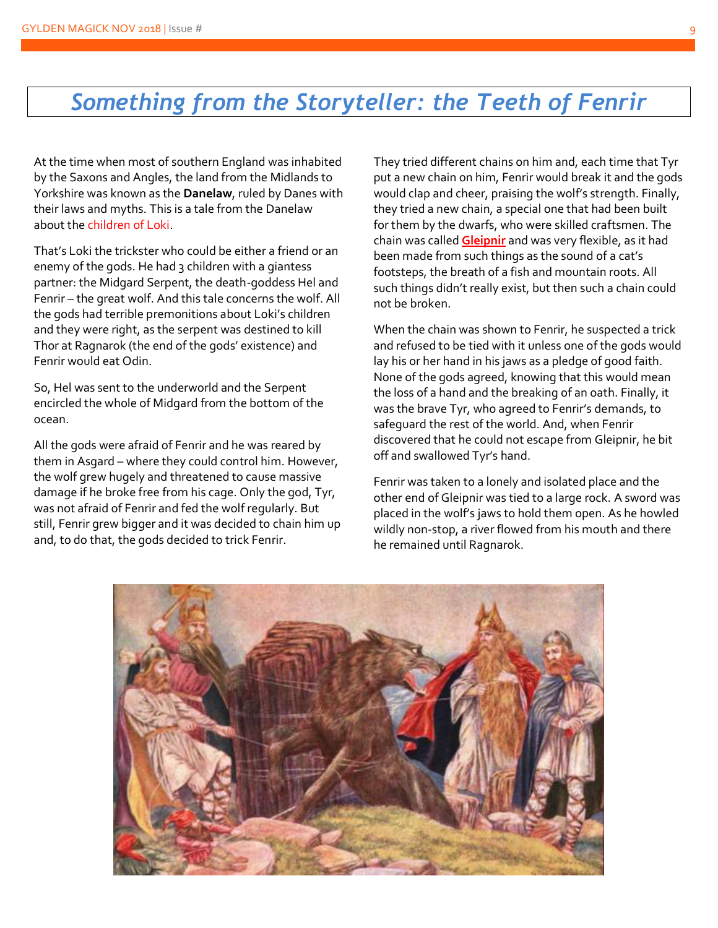## *Something from the Storyteller: the Teeth of Fenrir*

At the time when most of southern England was inhabited by the Saxons and Angles, the land from the Midlands to Yorkshire was known as the **Danelaw**, ruled by Danes with their laws and myths. This is a tale from the Danelaw about the children of Loki.

That's Loki the trickster who could be either a friend or an enemy of the gods. He had 3 children with a giantess partner: the Midgard Serpent, the death-goddess Hel and Fenrir – the great wolf. And this tale concerns the wolf. All the gods had terrible premonitions about Loki's children and they were right, as the serpent was destined to kill Thor at Ragnarok (the end of the gods' existence) and Fenrir would eat Odin.

So, Hel was sent to the underworld and the Serpent encircled the whole of Midgard from the bottom of the ocean.

All the gods were afraid of Fenrir and he was reared by them in Asgard – where they could control him. However, the wolf grew hugely and threatened to cause massive damage if he broke free from his cage. Only the god, Tyr, was not afraid of Fenrir and fed the wolf regularly. But still, Fenrir grew bigger and it was decided to chain him up and, to do that, the gods decided to trick Fenrir.

They tried different chains on him and, each time that Tyr put a new chain on him, Fenrir would break it and the gods would clap and cheer, praising the wolf's strength. Finally, they tried a new chain, a special one that had been built for them by the dwarfs, who were skilled craftsmen. The chain was called **Gleipnir** and was very flexible, as it had been made from such things as the sound of a cat's footsteps, the breath of a fish and mountain roots. All such things didn't really exist, but then such a chain could not be broken.

When the chain was shown to Fenrir, he suspected a trick and refused to be tied with it unless one of the gods would lay his or her hand in his jaws as a pledge of good faith. None of the gods agreed, knowing that this would mean the loss of a hand and the breaking of an oath. Finally, it was the brave Tyr, who agreed to Fenrir's demands, to safeguard the rest of the world. And, when Fenrir discovered that he could not escape from Gleipnir, he bit off and swallowed Tyr's hand.

Fenrir was taken to a lonely and isolated place and the other end of Gleipnir was tied to a large rock. A sword was placed in the wolf's jaws to hold them open. As he howled wildly non-stop, a river flowed from his mouth and there he remained until Ragnarok.